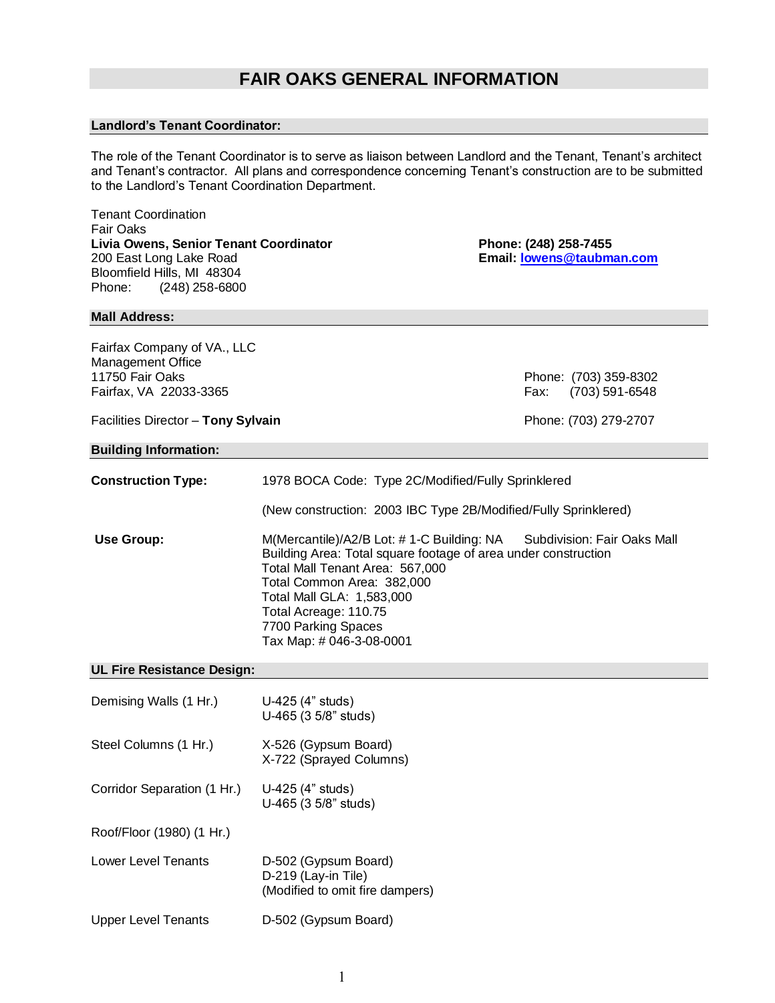# **FAIR OAKS GENERAL INFORMATION**

## **Landlord's Tenant Coordinator:**

The role of the Tenant Coordinator is to serve as liaison between Landlord and the Tenant, Tenant's architect and Tenant's contractor. All plans and correspondence concerning Tenant's construction are to be submitted to the Landlord's Tenant Coordination Department.

Tenant Coordination Fair Oaks Livia Owens, Senior Tenant Coordinator **Phone: (248) 258-7455** 200 East Long Lake Road **Email: [lowens@taubman.com](mailto:lowens@taubman.com)** Bloomfield Hills, MI 48304 Phone: (248) 258-6800

# **Mall Address:**

Fairfax Company of VA., LLC Management Office<br>11750 Fair Oaks Fairfax, VA 22033-3365 Fax: (703) 591-6548

Phone: (703) 359-8302

### Facilities Director – **Tony Sylvain Phone:** (703) 279-2707

#### **Building Information:**

| <b>Construction Type:</b> | 1978 BOCA Code: Type 2C/Modified/Fully Sprinklered                                                                                                                                                                                                                                                                   |  |  |
|---------------------------|----------------------------------------------------------------------------------------------------------------------------------------------------------------------------------------------------------------------------------------------------------------------------------------------------------------------|--|--|
|                           | (New construction: 2003 IBC Type 2B/Modified/Fully Sprinklered)                                                                                                                                                                                                                                                      |  |  |
| Use Group:                | Subdivision: Fair Oaks Mall<br>M(Mercantile)/A2/B Lot: #1-C Building: NA<br>Building Area: Total square footage of area under construction<br>Total Mall Tenant Area: 567,000<br>Total Common Area: 382,000<br>Total Mall GLA: 1,583,000<br>Total Acreage: 110.75<br>7700 Parking Spaces<br>Tax Map: # 046-3-08-0001 |  |  |

## **UL Fire Resistance Design:**

| Demising Walls (1 Hr.)      | U-425 (4" studs)<br>U-465 (3 5/8" studs)                                       |
|-----------------------------|--------------------------------------------------------------------------------|
| Steel Columns (1 Hr.)       | X-526 (Gypsum Board)<br>X-722 (Sprayed Columns)                                |
| Corridor Separation (1 Hr.) | U-425 (4" studs)<br>U-465 (3 5/8" studs)                                       |
| Roof/Floor (1980) (1 Hr.)   |                                                                                |
| Lower Level Tenants         | D-502 (Gypsum Board)<br>D-219 (Lay-in Tile)<br>(Modified to omit fire dampers) |
| <b>Upper Level Tenants</b>  | D-502 (Gypsum Board)                                                           |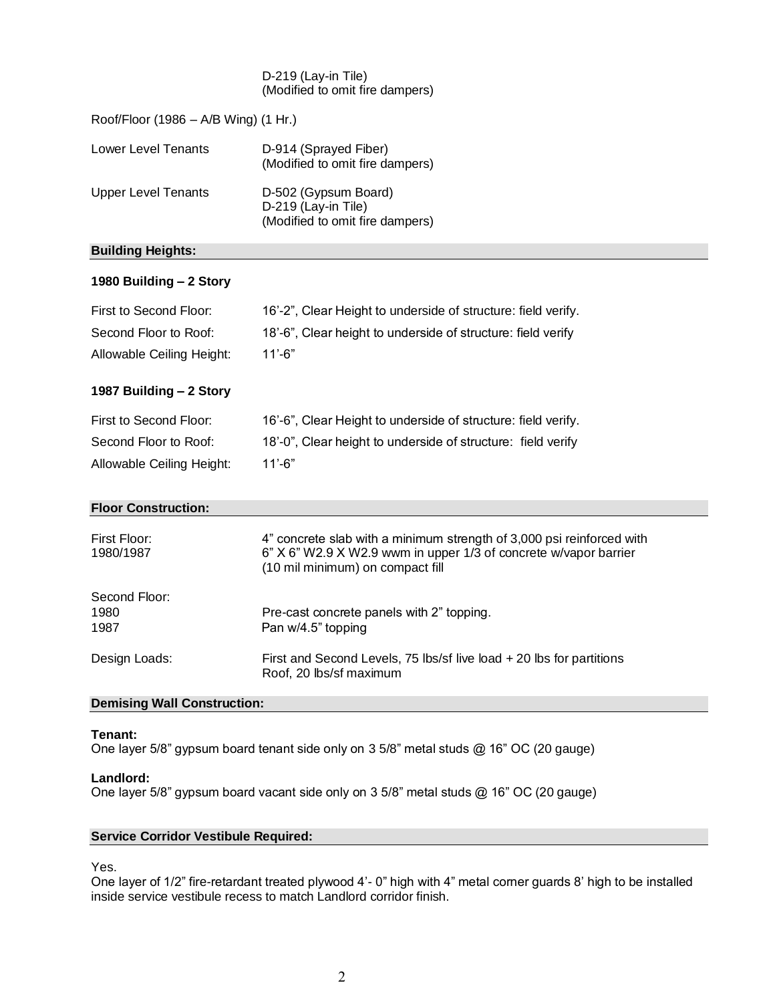### D-219 (Lay-in Tile) (Modified to omit fire dampers)

| Roof/Floor (1986 – A/B Wing) (1 Hr.) |                                                                                |  |
|--------------------------------------|--------------------------------------------------------------------------------|--|
| Lower Level Tenants                  | D-914 (Sprayed Fiber)<br>(Modified to omit fire dampers)                       |  |
| Upper Level Tenants                  | D-502 (Gypsum Board)<br>D-219 (Lay-in Tile)<br>(Modified to omit fire dampers) |  |

# **Building Heights:**

# **1980 Building – 2 Story**

| First to Second Floor:    | 16'-2", Clear Height to underside of structure: field verify. |
|---------------------------|---------------------------------------------------------------|
| Second Floor to Roof:     | 18'-6", Clear height to underside of structure: field verify  |
| Allowable Ceiling Height: | 11'-6"                                                        |

# **1987 Building – 2 Story**

| First to Second Floor:    | 16'-6", Clear Height to underside of structure: field verify. |
|---------------------------|---------------------------------------------------------------|
| Second Floor to Roof:     | 18'-0", Clear height to underside of structure: field verify  |
| Allowable Ceiling Height: | 11'-6"                                                        |

### **Floor Construction:**

| First Floor:<br>1980/1987 | 4" concrete slab with a minimum strength of 3,000 psi reinforced with<br>6" X 6" W2.9 X W2.9 wwm in upper 1/3 of concrete w/vapor barrier<br>(10 mil minimum) on compact fill |
|---------------------------|-------------------------------------------------------------------------------------------------------------------------------------------------------------------------------|
| Second Floor:<br>1980     | Pre-cast concrete panels with 2" topping.                                                                                                                                     |
| 1987                      | Pan w/4.5" topping                                                                                                                                                            |
| Design Loads:             | First and Second Levels, 75 lbs/sf live load $+$ 20 lbs for partitions<br>Roof, 20 lbs/sf maximum                                                                             |

# **Demising Wall Construction:**

## **Tenant:**

One layer 5/8" gypsum board tenant side only on 3 5/8" metal studs @ 16" OC (20 gauge)

### **Landlord:**

One layer 5/8" gypsum board vacant side only on 3 5/8" metal studs @ 16" OC (20 gauge)

# **Service Corridor Vestibule Required:**

Yes.

One layer of 1/2" fire-retardant treated plywood 4'- 0" high with 4" metal corner guards 8' high to be installed inside service vestibule recess to match Landlord corridor finish.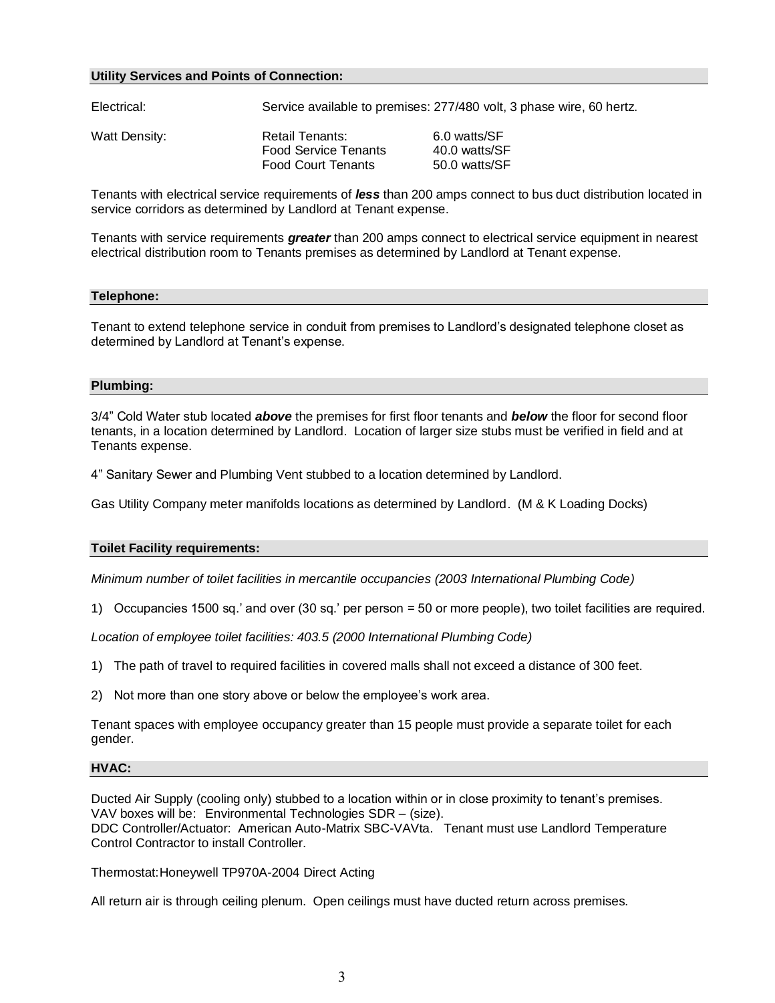### **Utility Services and Points of Connection:**

| Electrical:   | Service available to premises: 277/480 volt, 3 phase wire, 60 hertz.        |                                                |
|---------------|-----------------------------------------------------------------------------|------------------------------------------------|
| Watt Density: | Retail Tenants:<br><b>Food Service Tenants</b><br><b>Food Court Tenants</b> | 6.0 watts/SF<br>40.0 watts/SF<br>50.0 watts/SF |

Tenants with electrical service requirements of *less* than 200 amps connect to bus duct distribution located in service corridors as determined by Landlord at Tenant expense.

Tenants with service requirements *greater* than 200 amps connect to electrical service equipment in nearest electrical distribution room to Tenants premises as determined by Landlord at Tenant expense.

### **Telephone:**

Tenant to extend telephone service in conduit from premises to Landlord's designated telephone closet as determined by Landlord at Tenant's expense.

### **Plumbing:**

3/4" Cold Water stub located *above* the premises for first floor tenants and *below* the floor for second floor tenants, in a location determined by Landlord. Location of larger size stubs must be verified in field and at Tenants expense.

4" Sanitary Sewer and Plumbing Vent stubbed to a location determined by Landlord.

Gas Utility Company meter manifolds locations as determined by Landlord. (M & K Loading Docks)

### **Toilet Facility requirements:**

*Minimum number of toilet facilities in mercantile occupancies (2003 International Plumbing Code)*

1) Occupancies 1500 sq.' and over (30 sq.' per person = 50 or more people), two toilet facilities are required.

*Location of employee toilet facilities: 403.5 (2000 International Plumbing Code)*

1) The path of travel to required facilities in covered malls shall not exceed a distance of 300 feet.

2) Not more than one story above or below the employee's work area.

Tenant spaces with employee occupancy greater than 15 people must provide a separate toilet for each gender.

#### **HVAC:**

Ducted Air Supply (cooling only) stubbed to a location within or in close proximity to tenant's premises. VAV boxes will be: Environmental Technologies SDR – (size). DDC Controller/Actuator: American Auto-Matrix SBC-VAVta. Tenant must use Landlord Temperature

Control Contractor to install Controller.

Thermostat:Honeywell TP970A-2004 Direct Acting

All return air is through ceiling plenum. Open ceilings must have ducted return across premises.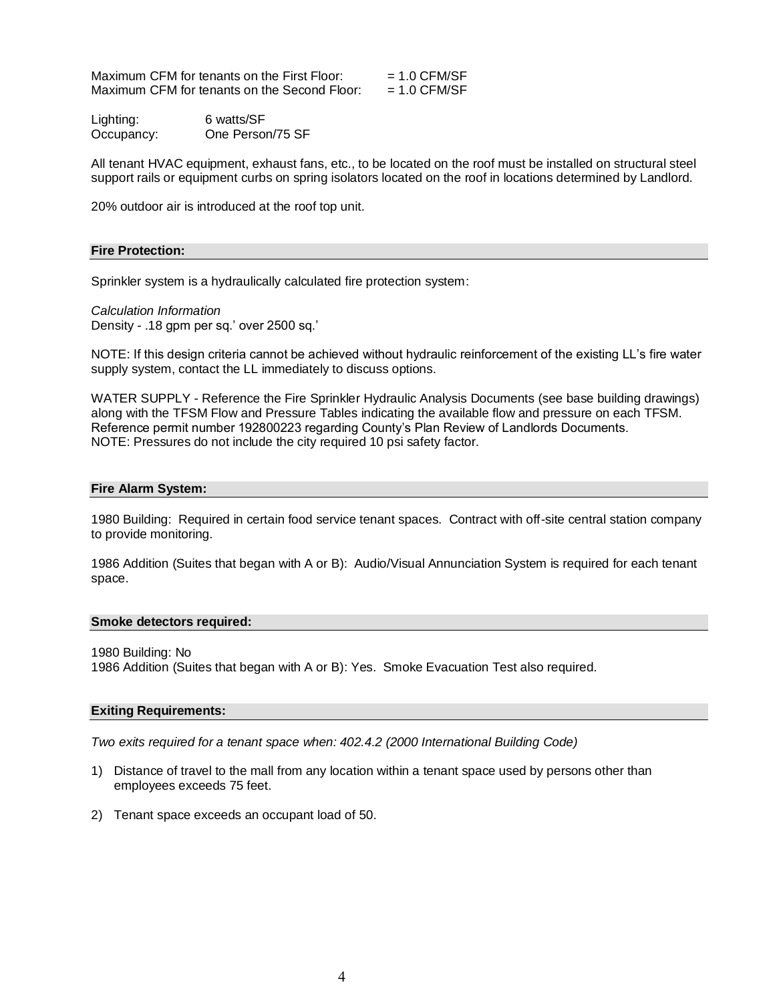Maximum CFM for tenants on the First Floor:  $= 1.0 \text{ CFM/SF}$ Maximum CFM for tenants on the Second Floor:  $= 1.0 \text{ CFM/SF}$ 

Lighting: 6 watts/SF Occupancy: One Person/75 SF

All tenant HVAC equipment, exhaust fans, etc., to be located on the roof must be installed on structural steel support rails or equipment curbs on spring isolators located on the roof in locations determined by Landlord.

20% outdoor air is introduced at the roof top unit.

### **Fire Protection:**

Sprinkler system is a hydraulically calculated fire protection system:

*Calculation Information* Density - .18 gpm per sq.' over 2500 sq.'

NOTE: If this design criteria cannot be achieved without hydraulic reinforcement of the existing LL's fire water supply system, contact the LL immediately to discuss options.

WATER SUPPLY - Reference the Fire Sprinkler Hydraulic Analysis Documents (see base building drawings) along with the TFSM Flow and Pressure Tables indicating the available flow and pressure on each TFSM. Reference permit number 192800223 regarding County's Plan Review of Landlords Documents. NOTE: Pressures do not include the city required 10 psi safety factor.

### **Fire Alarm System:**

1980 Building: Required in certain food service tenant spaces. Contract with off-site central station company to provide monitoring.

1986 Addition (Suites that began with A or B): Audio/Visual Annunciation System is required for each tenant space.

### **Smoke detectors required:**

1980 Building: No

1986 Addition (Suites that began with A or B): Yes. Smoke Evacuation Test also required.

### **Exiting Requirements:**

*Two exits required for a tenant space when: 402.4.2 (2000 International Building Code)*

- 1) Distance of travel to the mall from any location within a tenant space used by persons other than employees exceeds 75 feet.
- 2) Tenant space exceeds an occupant load of 50.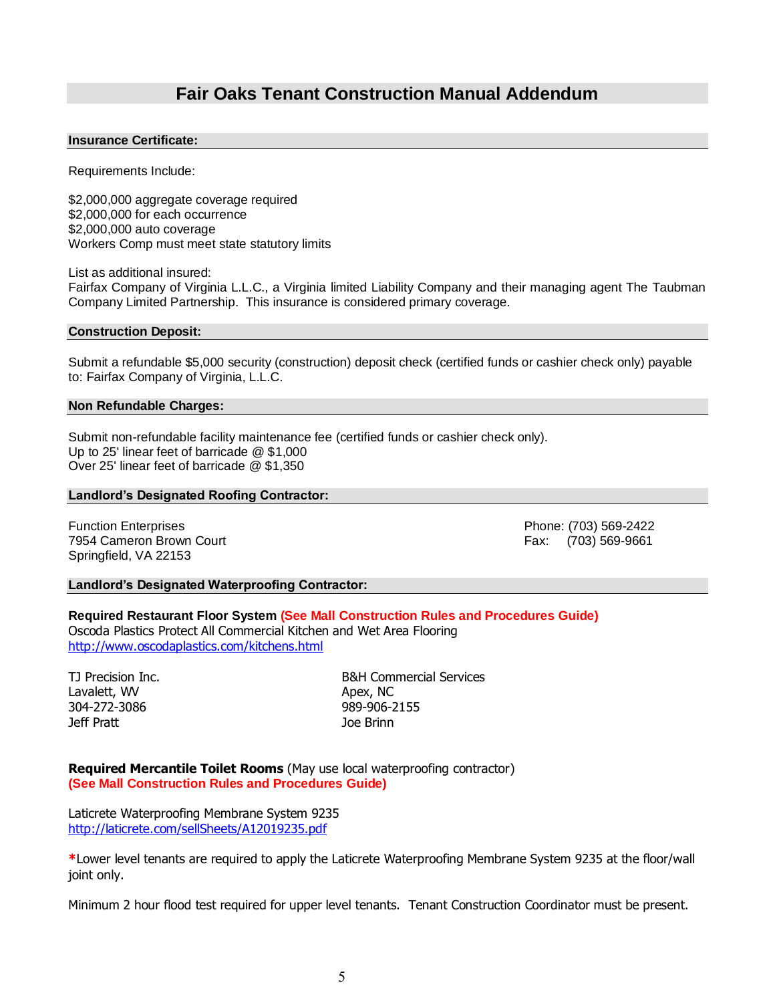# **Fair Oaks Tenant Construction Manual Addendum**

### **Insurance Certificate:**

Requirements Include:

\$2,000,000 aggregate coverage required \$2,000,000 for each occurrence \$2,000,000 auto coverage Workers Comp must meet state statutory limits

List as additional insured:

Fairfax Company of Virginia L.L.C., a Virginia limited Liability Company and their managing agent The Taubman Company Limited Partnership. This insurance is considered primary coverage.

### **Construction Deposit:**

Submit a refundable \$5,000 security (construction) deposit check (certified funds or cashier check only) payable to: Fairfax Company of Virginia, L.L.C.

### **Non Refundable Charges:**

Submit non-refundable facility maintenance fee (certified funds or cashier check only). Up to 25' linear feet of barricade @ \$1,000 Over 25' linear feet of barricade @ \$1,350

### **Landlord's Designated Roofing Contractor:**

Function Enterprises Phone: (703) 569-2422 7954 Cameron Brown Court **Fax: (703)** 569-9661 Springfield, VA 22153

### **Landlord's Designated Waterproofing Contractor:**

### **Required Restaurant Floor System (See Mall Construction Rules and Procedures Guide)** Oscoda Plastics Protect All Commercial Kitchen and Wet Area Flooring <http://www.oscodaplastics.com/kitchens.html>

Lavalett, WV Apex, NC 304-272-3086 989-906-2155 Jeff Pratt Joe Brinn

TJ Precision Inc. **B&H Commercial Services** 

**Required Mercantile Toilet Rooms** (May use local waterproofing contractor) **(See Mall Construction Rules and Procedures Guide)**

Laticrete Waterproofing Membrane System 9235 http://laticrete.com/sellSheets/A12019235.pdf

**\***Lower level tenants are required to apply the Laticrete Waterproofing Membrane System 9235 at the floor/wall joint only.

Minimum 2 hour flood test required for upper level tenants. Tenant Construction Coordinator must be present.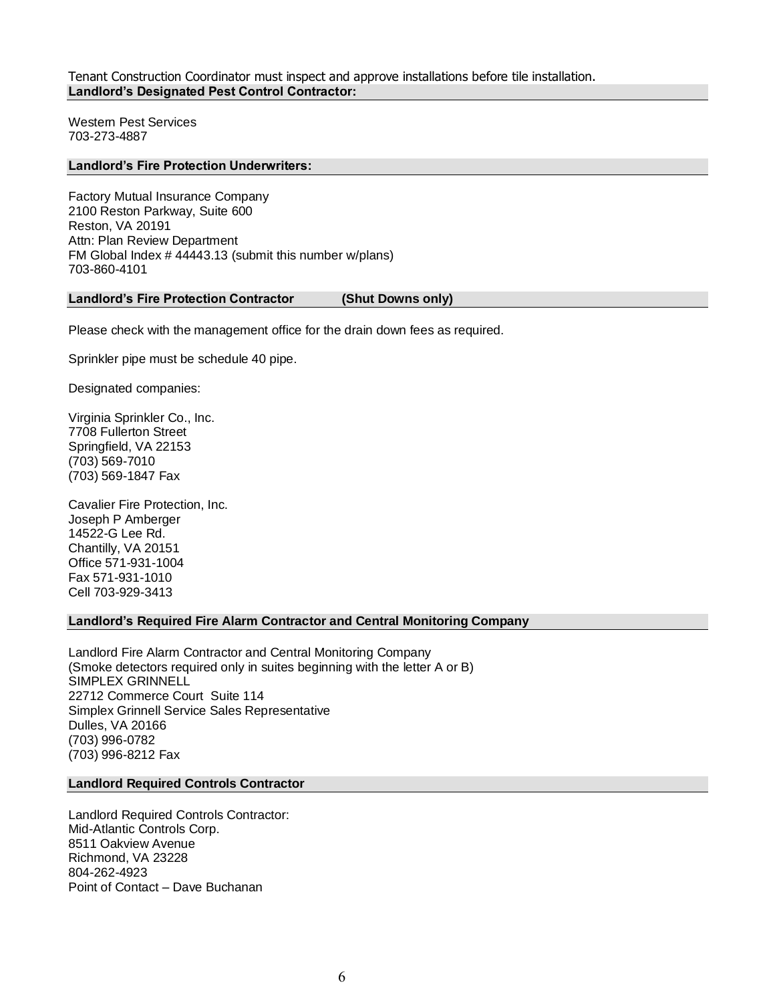Tenant Construction Coordinator must inspect and approve installations before tile installation. **Landlord's Designated Pest Control Contractor:**

Western Pest Services 703-273-4887

### **Landlord's Fire Protection Underwriters:**

Factory Mutual Insurance Company 2100 Reston Parkway, Suite 600 Reston, VA 20191 Attn: Plan Review Department FM Global Index # 44443.13 (submit this number w/plans) 703-860-4101

#### **Landlord's Fire Protection Contractor (Shut Downs only)**

Please check with the management office for the drain down fees as required.

Sprinkler pipe must be schedule 40 pipe.

Designated companies:

Virginia Sprinkler Co., Inc. 7708 Fullerton Street Springfield, VA 22153 (703) 569-7010 (703) 569-1847 Fax

Cavalier Fire Protection, Inc. Joseph P Amberger 14522-G Lee Rd. Chantilly, VA 20151 Office 571-931-1004 Fax 571-931-1010 Cell 703-929-3413

#### **Landlord's Required Fire Alarm Contractor and Central Monitoring Company**

Landlord Fire Alarm Contractor and Central Monitoring Company (Smoke detectors required only in suites beginning with the letter A or B) SIMPLEX GRINNELL 22712 Commerce Court Suite 114 Simplex Grinnell Service Sales Representative Dulles, VA 20166 (703) 996-0782 (703) 996-8212 Fax

### **Landlord Required Controls Contractor**

Landlord Required Controls Contractor: Mid-Atlantic Controls Corp. 8511 Oakview Avenue Richmond, VA 23228 804-262-4923 Point of Contact – Dave Buchanan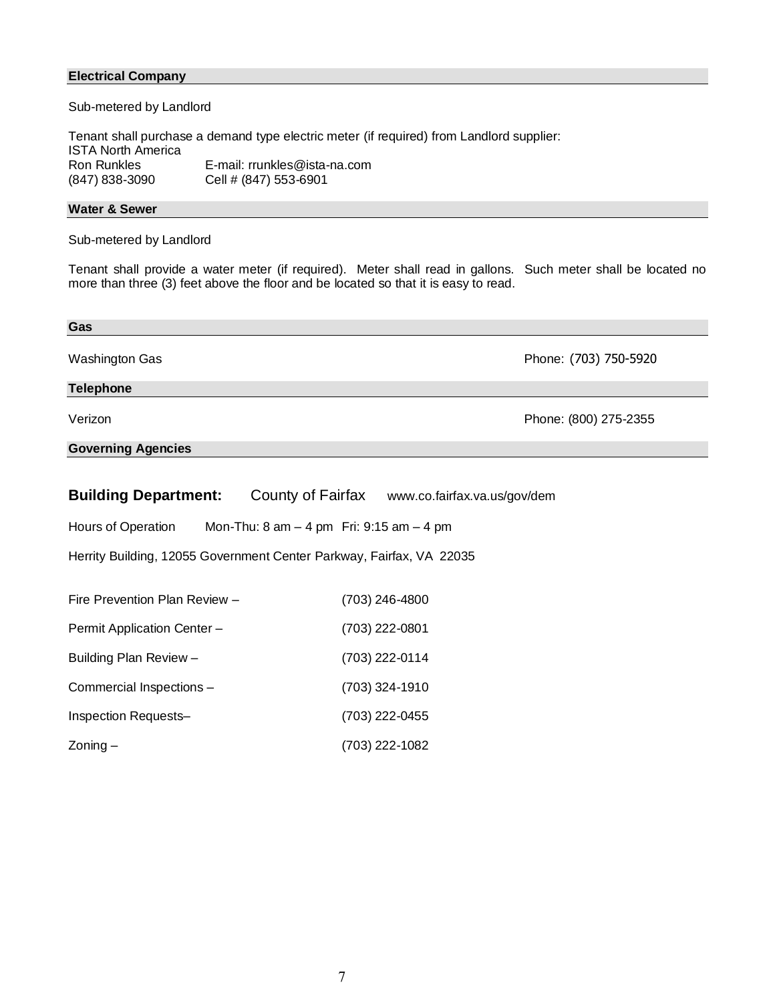## **Electrical Company**

Sub-metered by Landlord

Tenant shall purchase a demand type electric meter (if required) from Landlord supplier: ISTA North America Ron Runkles **E**-mail: rrunkles@ista-na.com<br>(847) 838-3090 **Cell # (847) 553-6901** Cell # (847) 553-6901

## **Water & Sewer**

Sub-metered by Landlord

Tenant shall provide a water meter (if required). Meter shall read in gallons. Such meter shall be located no more than three (3) feet above the floor and be located so that it is easy to read.

| Gas                                                                                                |                                                |  |  |
|----------------------------------------------------------------------------------------------------|------------------------------------------------|--|--|
| Washington Gas                                                                                     | Phone: (703) 750-5920                          |  |  |
| <b>Telephone</b>                                                                                   |                                                |  |  |
| Verizon                                                                                            | Phone: (800) 275-2355                          |  |  |
| <b>Governing Agencies</b>                                                                          |                                                |  |  |
|                                                                                                    |                                                |  |  |
| <b>Building Department:</b>                                                                        | County of Fairfax www.co.fairfax.va.us/gov/dem |  |  |
| Hours of Operation<br>Mon-Thu: $8 \text{ am} - 4 \text{ pm}$ Fri: $9:15 \text{ am} - 4 \text{ pm}$ |                                                |  |  |
| Herrity Building, 12055 Government Center Parkway, Fairfax, VA 22035                               |                                                |  |  |
|                                                                                                    |                                                |  |  |
| Fire Prevention Plan Review -                                                                      | (703) 246-4800                                 |  |  |
| Permit Application Center -                                                                        | (703) 222-0801                                 |  |  |
| Building Plan Review -                                                                             | (703) 222-0114                                 |  |  |
| Commercial Inspections -                                                                           | (703) 324-1910                                 |  |  |

Inspection Requests– (703) 222-0455

Zoning – (703) 222-1082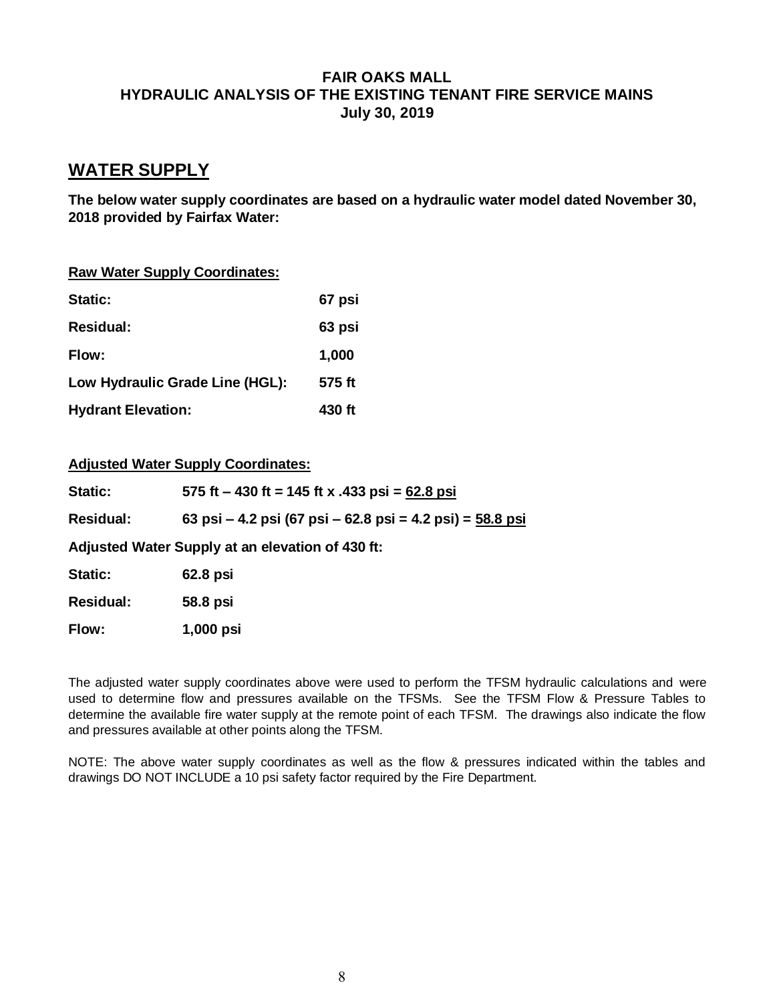# **FAIR OAKS MALL HYDRAULIC ANALYSIS OF THE EXISTING TENANT FIRE SERVICE MAINS July 30, 2019**

# **WATER SUPPLY**

**The below water supply coordinates are based on a hydraulic water model dated November 30, 2018 provided by Fairfax Water:**

|  |  |  |  | <b>Raw Water Supply Coordinates:</b> |
|--|--|--|--|--------------------------------------|
|--|--|--|--|--------------------------------------|

| <b>Static:</b>                  | 67 psi |
|---------------------------------|--------|
| <b>Residual:</b>                | 63 psi |
| Flow:                           | 1,000  |
| Low Hydraulic Grade Line (HGL): | 575 ft |
| <b>Hydrant Elevation:</b>       | 430 ft |

# **Adjusted Water Supply Coordinates:**

| <b>Static:</b>                                   | 575 ft – 430 ft = 145 ft x .433 psi = $62.8$ psi            |  |  |
|--------------------------------------------------|-------------------------------------------------------------|--|--|
| <b>Residual:</b>                                 | 63 psi – 4.2 psi (67 psi – 62.8 psi = 4.2 psi) = $58.8$ psi |  |  |
| Adjusted Water Supply at an elevation of 430 ft: |                                                             |  |  |
| Static:                                          | 62.8 psi                                                    |  |  |
| <b>Residual:</b>                                 | 58.8 psi                                                    |  |  |
| Flow:                                            | 1,000 psi                                                   |  |  |

The adjusted water supply coordinates above were used to perform the TFSM hydraulic calculations and were used to determine flow and pressures available on the TFSMs. See the TFSM Flow & Pressure Tables to determine the available fire water supply at the remote point of each TFSM. The drawings also indicate the flow and pressures available at other points along the TFSM.

NOTE: The above water supply coordinates as well as the flow & pressures indicated within the tables and drawings DO NOT INCLUDE a 10 psi safety factor required by the Fire Department.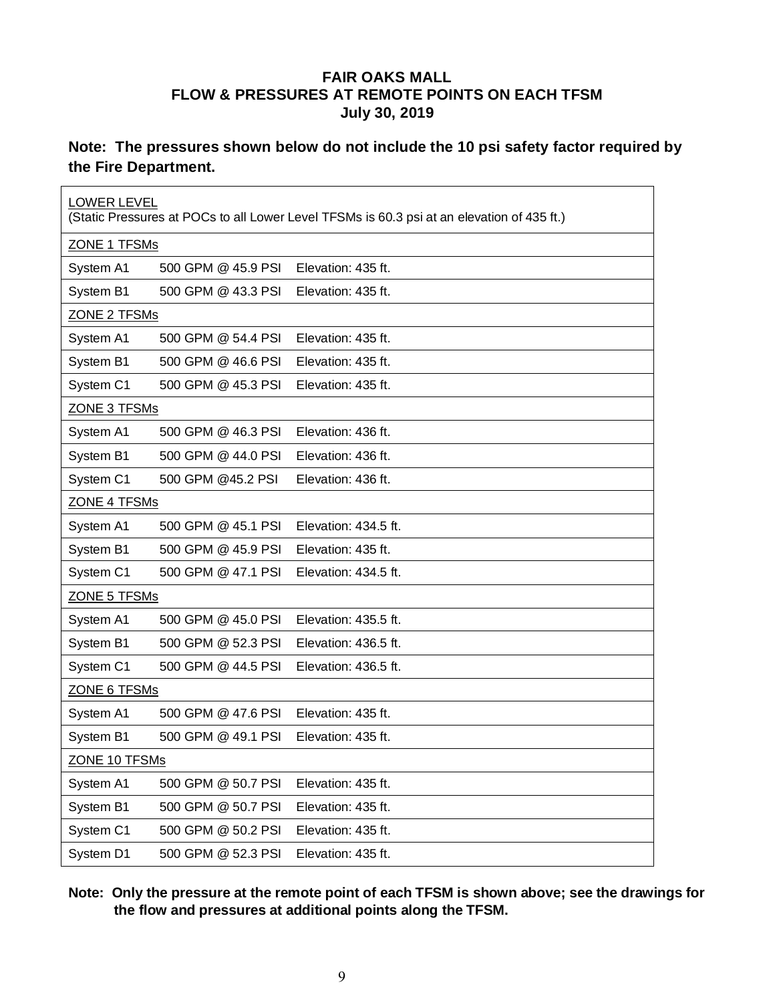# **FAIR OAKS MALL FLOW & PRESSURES AT REMOTE POINTS ON EACH TFSM July 30, 2019**

# **Note: The pressures shown below do not include the 10 psi safety factor required by the Fire Department.**

| <b>LOWER LEVEL</b><br>(Static Pressures at POCs to all Lower Level TFSMs is 60.3 psi at an elevation of 435 ft.) |                    |                      |  |  |  |
|------------------------------------------------------------------------------------------------------------------|--------------------|----------------------|--|--|--|
| ZONE 1 TFSMs                                                                                                     |                    |                      |  |  |  |
| System A1                                                                                                        | 500 GPM @ 45.9 PSI | Elevation: 435 ft.   |  |  |  |
| System B1                                                                                                        | 500 GPM @ 43.3 PSI | Elevation: 435 ft.   |  |  |  |
|                                                                                                                  | ZONE 2 TFSMs       |                      |  |  |  |
| System A1                                                                                                        | 500 GPM @ 54.4 PSI | Elevation: 435 ft.   |  |  |  |
| System B1                                                                                                        | 500 GPM @ 46.6 PSI | Elevation: 435 ft.   |  |  |  |
| System C1                                                                                                        | 500 GPM @ 45.3 PSI | Elevation: 435 ft.   |  |  |  |
| ZONE 3 TFSMs                                                                                                     |                    |                      |  |  |  |
| System A1                                                                                                        | 500 GPM @ 46.3 PSI | Elevation: 436 ft.   |  |  |  |
| System B1                                                                                                        | 500 GPM @ 44.0 PSI | Elevation: 436 ft.   |  |  |  |
| System C1                                                                                                        | 500 GPM @45.2 PSI  | Elevation: 436 ft.   |  |  |  |
| <b>ZONE 4 TFSMs</b>                                                                                              |                    |                      |  |  |  |
| System A1                                                                                                        | 500 GPM @ 45.1 PSI | Elevation: 434.5 ft. |  |  |  |
| System B1                                                                                                        | 500 GPM @ 45.9 PSI | Elevation: 435 ft.   |  |  |  |
| System C1                                                                                                        | 500 GPM @ 47.1 PSI | Elevation: 434.5 ft. |  |  |  |
| ZONE 5 TFSMs                                                                                                     |                    |                      |  |  |  |
| System A1                                                                                                        | 500 GPM @ 45.0 PSI | Elevation: 435.5 ft. |  |  |  |
| System B1                                                                                                        | 500 GPM @ 52.3 PSI | Elevation: 436.5 ft. |  |  |  |
| System C1                                                                                                        | 500 GPM @ 44.5 PSI | Elevation: 436.5 ft. |  |  |  |
| ZONE 6 TFSMs                                                                                                     |                    |                      |  |  |  |
| System A1                                                                                                        | 500 GPM @ 47.6 PSI | Elevation: 435 ft.   |  |  |  |
| System B1                                                                                                        | 500 GPM @ 49.1 PSI | Elevation: 435 ft.   |  |  |  |
| <u>ZONE 10 TFSMs</u>                                                                                             |                    |                      |  |  |  |
| System A1                                                                                                        | 500 GPM @ 50.7 PSI | Elevation: 435 ft.   |  |  |  |
| System B1                                                                                                        | 500 GPM @ 50.7 PSI | Elevation: 435 ft.   |  |  |  |
| System C1                                                                                                        | 500 GPM @ 50.2 PSI | Elevation: 435 ft.   |  |  |  |
| System D1                                                                                                        | 500 GPM @ 52.3 PSI | Elevation: 435 ft.   |  |  |  |

**Note: Only the pressure at the remote point of each TFSM is shown above; see the drawings for the flow and pressures at additional points along the TFSM.**